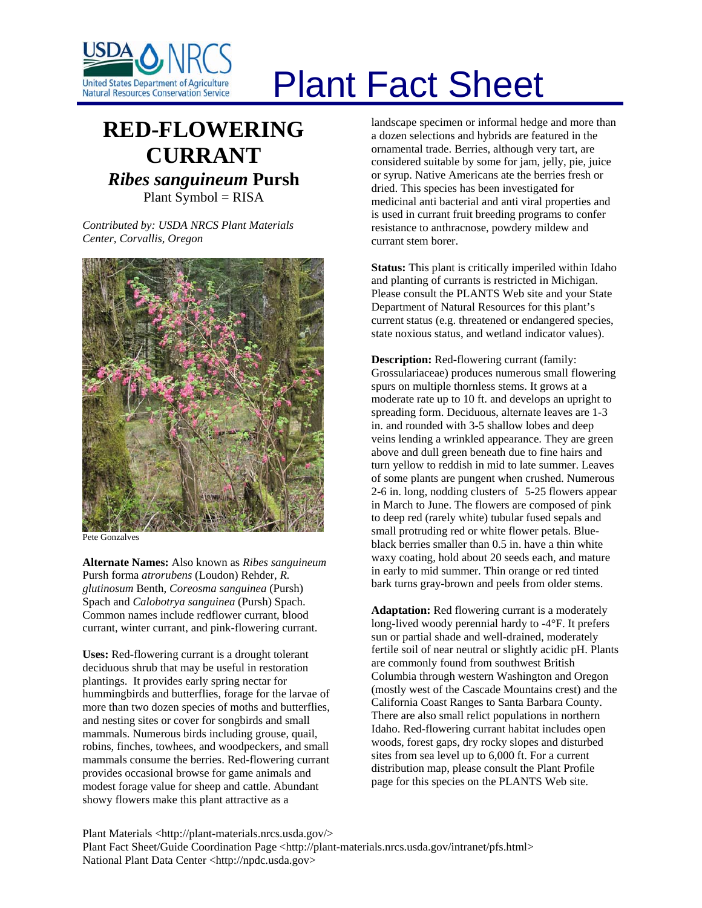

## Plant Fact Sheet

## **RED-FLOWERING CURRANT** *Ribes sanguineum* **Pursh** Plant Symbol = RISA

*Contributed by: USDA NRCS Plant Materials Center, Corvallis, Oregon* 



Pete Gonzalves

**Alternate Names:** Also known as *Ribes sanguineum* Pursh forma *atrorubens* (Loudon) Rehder, *R. glutinosum* Benth, *Coreosma sanguinea* (Pursh) Spach and *Calobotrya sanguinea* (Pursh) Spach. Common names include redflower currant, blood currant, winter currant, and pink-flowering currant.

**Uses:** Red-flowering currant is a drought tolerant deciduous shrub that may be useful in restoration plantings. It provides early spring nectar for hummingbirds and butterflies, forage for the larvae of more than two dozen species of moths and butterflies, and nesting sites or cover for songbirds and small mammals. Numerous birds including grouse, quail, robins, finches, towhees, and woodpeckers, and small mammals consume the berries. Red-flowering currant provides occasional browse for game animals and modest forage value for sheep and cattle. Abundant showy flowers make this plant attractive as a

landscape specimen or informal hedge and more than a dozen selections and hybrids are featured in the ornamental trade. Berries, although very tart, are considered suitable by some for jam, jelly, pie, juice or syrup. Native Americans ate the berries fresh or dried. This species has been investigated for medicinal anti bacterial and anti viral properties and is used in currant fruit breeding programs to confer resistance to anthracnose, powdery mildew and currant stem borer.

**Status:** This plant is critically imperiled within Idaho and planting of currants is restricted in Michigan. Please consult the PLANTS Web site and your State Department of Natural Resources for this plant's current status (e.g. threatened or endangered species, state noxious status, and wetland indicator values).

**Description:** Red-flowering currant (family: Grossulariaceae) produces numerous small flowering spurs on multiple thornless stems. It grows at a moderate rate up to 10 ft. and develops an upright to spreading form. Deciduous, alternate leaves are 1-3 in. and rounded with 3-5 shallow lobes and deep veins lending a wrinkled appearance. They are green above and dull green beneath due to fine hairs and turn yellow to reddish in mid to late summer. Leaves of some plants are pungent when crushed. Numerous 2-6 in. long, nodding clusters of 5-25 flowers appear in March to June. The flowers are composed of pink to deep red (rarely white) tubular fused sepals and small protruding red or white flower petals. Blueblack berries smaller than 0.5 in. have a thin white waxy coating, hold about 20 seeds each, and mature in early to mid summer. Thin orange or red tinted bark turns gray-brown and peels from older stems.

**Adaptation:** Red flowering currant is a moderately long-lived woody perennial hardy to -4°F. It prefers sun or partial shade and well-drained, moderately fertile soil of near neutral or slightly acidic pH. Plants are commonly found from southwest British Columbia through western Washington and Oregon (mostly west of the Cascade Mountains crest) and the California Coast Ranges to Santa Barbara County. There are also small relict populations in northern Idaho. Red-flowering currant habitat includes open woods, forest gaps, dry rocky slopes and disturbed sites from sea level up to 6,000 ft. For a current distribution map, please consult the Plant Profile page for this species on the PLANTS Web site.

Plant Materials <http://plant-materials.nrcs.usda.gov/> Plant Fact Sheet/Guide Coordination Page <http://plant-materials.nrcs.usda.gov/intranet/pfs.html> National Plant Data Center <http://npdc.usda.gov>